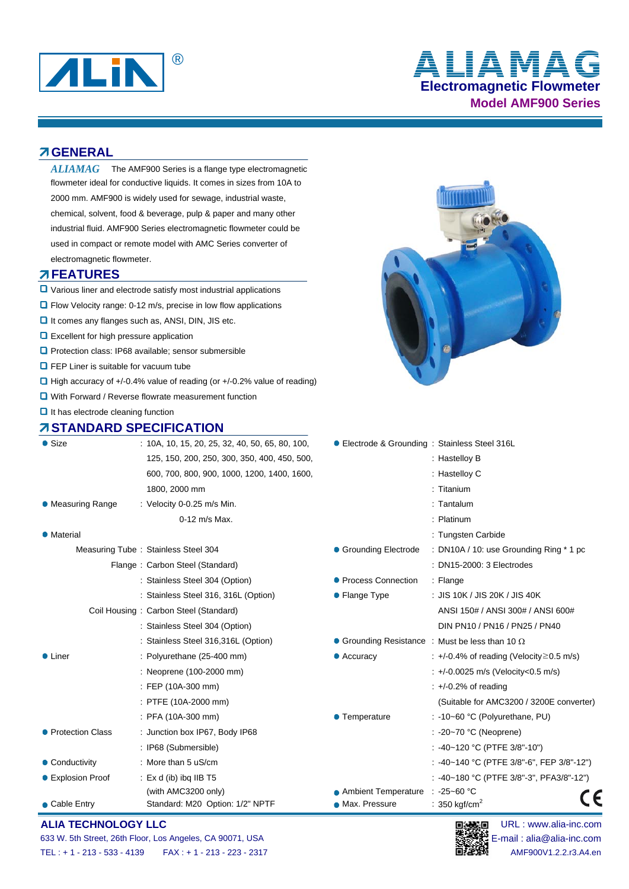

# **Electromagnetic Flowmeter Model AMF900 Series** ® **ALIAMAG**

### **GENERAL**

 $ALIAMAG$  The AMF900 Series is a flange type electromagnetic flowmeter ideal for conductive liquids. It comes in sizes from 10A to 2000 mm. AMF900 is widely used for sewage, industrial waste, chemical, solvent, food & beverage, pulp & paper and many other industrial fluid. AMF900 Series electromagnetic flowmeter could be used in compact or remote model with AMC Series converter of electromagnetic flowmeter.

#### **FEATURES**

- Various liner and electrode satisfy most industrial applications
- **D** Flow Velocity range: 0-12 m/s, precise in low flow applications
- $\Box$  It comes any flanges such as, ANSI, DIN, JIS etc.
- **Q** Excellent for high pressure application
- **Q** Protection class: IP68 available: sensor submersible
- **O** FEP Liner is suitable for vacuum tube
- $\Box$  High accuracy of +/-0.4% value of reading (or +/-0.2% value of reading)
- **Q** With Forward / Reverse flowrate measurement function
- $\Box$  It has electrode cleaning function

# **STANDARD SPECIFICATION**



| $\bullet$ Size     | $: 10A, 10, 15, 20, 25, 32, 40, 50, 65, 80, 100,$ | ● Electrode & Grounding: Stainless Steel 316L |                                                        |
|--------------------|---------------------------------------------------|-----------------------------------------------|--------------------------------------------------------|
|                    | 125, 150, 200, 250, 300, 350, 400, 450, 500,      |                                               | : Hastelloy B                                          |
|                    | 600, 700, 800, 900, 1000, 1200, 1400, 1600,       |                                               | : Hastelloy C                                          |
|                    | 1800, 2000 mm                                     |                                               | : Titanium                                             |
| • Measuring Range  | : Velocity 0-0.25 m/s Min.                        |                                               | $:$ Tantalum                                           |
|                    | 0-12 m/s Max.                                     |                                               | : Platinum                                             |
| • Material         |                                                   |                                               | : Tungsten Carbide                                     |
|                    | Measuring Tube: Stainless Steel 304               | • Grounding Electrode                         | : DN10A / 10: use Grounding Ring * 1 pc                |
|                    | Flange: Carbon Steel (Standard)                   |                                               | : DN15-2000: 3 Electrodes                              |
|                    | : Stainless Steel 304 (Option)                    | • Process Connection                          | $:$ Flange                                             |
|                    | : Stainless Steel 316, 316L (Option)              | • Flange Type                                 | : JIS 10K / JIS 20K / JIS 40K                          |
|                    | Coil Housing: Carbon Steel (Standard)             |                                               | ANSI 150# / ANSI 300# / ANSI 600#                      |
|                    | : Stainless Steel 304 (Option)                    |                                               | DIN PN10 / PN16 / PN25 / PN40                          |
|                    | : Stainless Steel 316,316L (Option)               |                                               | • Grounding Resistance : Must be less than 10 $\Omega$ |
| $\bullet$ Liner    | : Polyurethane (25-400 mm)                        | $\bullet$ Accuracy                            | $\div$ +/-0.4% of reading (Velocity $\geq$ 0.5 m/s)    |
|                    | : Neoprene (100-2000 mm)                          |                                               | : +/-0.0025 m/s (Velocity<0.5 m/s)                     |
|                    | : FEP (10A-300 mm)                                |                                               | $\div$ +/-0.2% of reading                              |
|                    | : PTFE (10A-2000 mm)                              |                                               | (Suitable for AMC3200 / 3200E converter)               |
|                    | $:$ PFA (10A-300 mm)                              | • Temperature                                 | : -10~60 °C (Polyurethane, PU)                         |
| • Protection Class | : Junction box IP67, Body IP68                    |                                               | $: -20 - 70$ °C (Neoprene)                             |
|                    | : IP68 (Submersible)                              |                                               | : -40~120 °C (PTFE 3/8"-10")                           |
| • Conductivity     | : More than 5 uS/cm                               |                                               | : -40~140 °C (PTFE 3/8"-6", FEP 3/8"-12")              |
| ● Explosion Proof  | : $Ex$ d (ib) ibg IIB T5                          |                                               | : -40~180 °C (PTFE 3/8"-3", PFA3/8"-12")               |
|                    | (with AMC3200 only)                               | • Ambient Temperature                         | $: -25 - 60$ °C<br>€                                   |
| • Cable Entry      | Standard: M20 Option: 1/2" NPTF                   | • Max. Pressure                               | : 350 kgf/cm <sup>2</sup>                              |

#### **ALIA TECHNOLOGY LLC DEVICED DEVICED DEVICED DEVICED DEVICED DEVICED DEVICED DEVICED DEVICED DEVICED DEVICED**

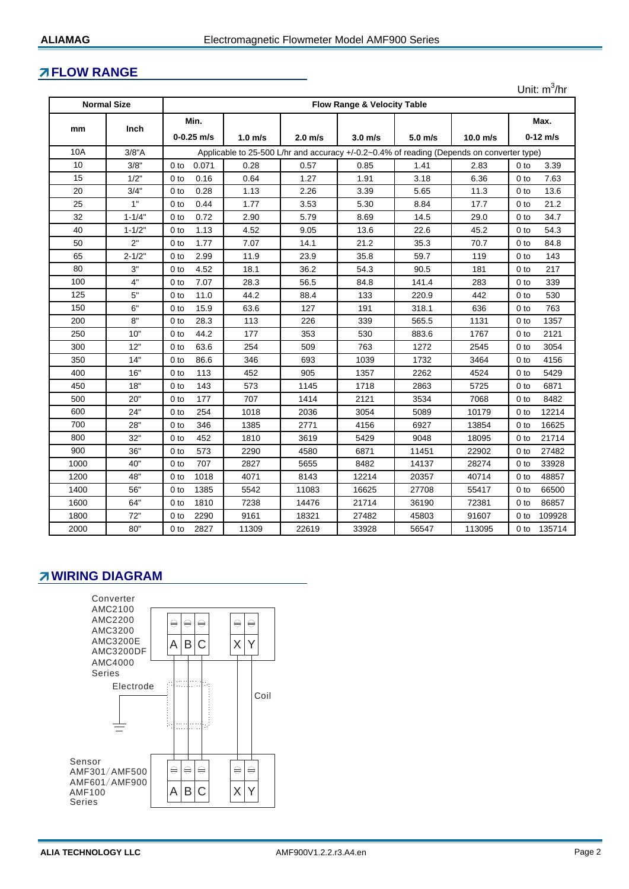### **FLOW RANGE**

|                                                              |             |                          |                                                                                           |                   |           |           |            | Unit: $m^3/hr$            |
|--------------------------------------------------------------|-------------|--------------------------|-------------------------------------------------------------------------------------------|-------------------|-----------|-----------|------------|---------------------------|
| <b>Normal Size</b><br><b>Flow Range &amp; Velocity Table</b> |             |                          |                                                                                           |                   |           |           |            |                           |
|                                                              |             | Min.                     |                                                                                           |                   |           |           |            | Max.                      |
| mm                                                           | <b>Inch</b> | $0 - 0.25$ m/s           | $1.0 \text{ m/s}$                                                                         | $2.0 \text{ m/s}$ | $3.0$ m/s | $5.0$ m/s | $10.0$ m/s | $0-12$ m/s                |
| <b>10A</b>                                                   | 3/8"A       |                          | Applicable to 25-500 L/hr and accuracy +/-0.2~0.4% of reading (Depends on converter type) |                   |           |           |            |                           |
| 10                                                           | 3/8"        | 0 <sub>to</sub><br>0.071 | 0.28                                                                                      | 0.57              | 0.85      | 1.41      | 2.83       | 3.39<br>0 to              |
| 15                                                           | 1/2"        | 0.16<br>0 <sub>to</sub>  | 0.64                                                                                      | 1.27              | 1.91      | 3.18      | 6.36       | 7.63<br>0 <sub>to</sub>   |
| 20                                                           | 3/4"        | 0.28<br>0 <sub>to</sub>  | 1.13                                                                                      | 2.26              | 3.39      | 5.65      | 11.3       | 13.6<br>0 <sub>to</sub>   |
| 25                                                           | 1"          | 0.44<br>0 <sub>to</sub>  | 1.77                                                                                      | 3.53              | 5.30      | 8.84      | 17.7       | 21.2<br>0 <sub>to</sub>   |
| 32                                                           | $1 - 1/4"$  | 0.72<br>0 to             | 2.90                                                                                      | 5.79              | 8.69      | 14.5      | 29.0       | 34.7<br>0 to              |
| 40                                                           | $1 - 1/2"$  | 1.13<br>0 <sub>to</sub>  | 4.52                                                                                      | 9.05              | 13.6      | 22.6      | 45.2       | 54.3<br>0 to              |
| 50                                                           | 2"          | 1.77<br>0 <sub>to</sub>  | 7.07                                                                                      | 14.1              | 21.2      | 35.3      | 70.7       | 84.8<br>0 <sub>to</sub>   |
| 65                                                           | $2 - 1/2"$  | 2.99<br>0 <sub>to</sub>  | 11.9                                                                                      | 23.9              | 35.8      | 59.7      | 119        | 143<br>0 <sub>to</sub>    |
| 80                                                           | 3"          | 4.52<br>0 <sub>to</sub>  | 18.1                                                                                      | 36.2              | 54.3      | 90.5      | 181        | 217<br>0 <sub>to</sub>    |
| 100                                                          | 4"          | 7.07<br>0 <sub>to</sub>  | 28.3                                                                                      | 56.5              | 84.8      | 141.4     | 283        | 0 <sub>to</sub><br>339    |
| 125                                                          | 5"          | 11.0<br>0 <sub>to</sub>  | 44.2                                                                                      | 88.4              | 133       | 220.9     | 442        | 530<br>0 <sub>to</sub>    |
| 150                                                          | 6"          | 15.9<br>0 <sub>to</sub>  | 63.6                                                                                      | 127               | 191       | 318.1     | 636        | 763<br>0 <sub>to</sub>    |
| 200                                                          | 8"          | 28.3<br>0 <sub>to</sub>  | 113                                                                                       | 226               | 339       | 565.5     | 1131       | 1357<br>0 to              |
| 250                                                          | 10"         | 44.2<br>0 <sub>to</sub>  | 177                                                                                       | 353               | 530       | 883.6     | 1767       | 2121<br>0 <sub>to</sub>   |
| 300                                                          | 12"         | 63.6<br>0 <sub>to</sub>  | 254                                                                                       | 509               | 763       | 1272      | 2545       | 3054<br>0 <sub>to</sub>   |
| 350                                                          | 14"         | 86.6<br>0 <sub>to</sub>  | 346                                                                                       | 693               | 1039      | 1732      | 3464       | 4156<br>0 <sub>to</sub>   |
| 400                                                          | 16"         | 113<br>0 <sub>to</sub>   | 452                                                                                       | 905               | 1357      | 2262      | 4524       | 5429<br>0 <sub>to</sub>   |
| 450                                                          | 18"         | 143<br>0 <sub>to</sub>   | 573                                                                                       | 1145              | 1718      | 2863      | 5725       | 6871<br>0 <sub>to</sub>   |
| 500                                                          | 20"         | 177<br>0 <sub>to</sub>   | 707                                                                                       | 1414              | 2121      | 3534      | 7068       | 8482<br>0 <sub>to</sub>   |
| 600                                                          | 24"         | 254<br>0 <sub>to</sub>   | 1018                                                                                      | 2036              | 3054      | 5089      | 10179      | 12214<br>0 to             |
| 700                                                          | 28"         | 346<br>0 <sub>to</sub>   | 1385                                                                                      | 2771              | 4156      | 6927      | 13854      | 16625<br>0 <sub>to</sub>  |
| 800                                                          | 32"         | 452<br>0 <sub>to</sub>   | 1810                                                                                      | 3619              | 5429      | 9048      | 18095      | 21714<br>0 <sub>to</sub>  |
| 900                                                          | 36"         | 573<br>0 <sub>to</sub>   | 2290                                                                                      | 4580              | 6871      | 11451     | 22902      | 27482<br>0 <sub>to</sub>  |
| 1000                                                         | 40"         | 707<br>0 <sub>to</sub>   | 2827                                                                                      | 5655              | 8482      | 14137     | 28274      | 33928<br>0 <sub>to</sub>  |
| 1200                                                         | 48"         | 1018<br>0 <sub>to</sub>  | 4071                                                                                      | 8143              | 12214     | 20357     | 40714      | 48857<br>0 <sub>to</sub>  |
| 1400                                                         | 56"         | 1385<br>0 <sub>to</sub>  | 5542                                                                                      | 11083             | 16625     | 27708     | 55417      | 66500<br>0 <sub>to</sub>  |
| 1600                                                         | 64"         | 1810<br>0 to             | 7238                                                                                      | 14476             | 21714     | 36190     | 72381      | 86857<br>0 to             |
| 1800                                                         | 72"         | 2290<br>0 <sub>to</sub>  | 9161                                                                                      | 18321             | 27482     | 45803     | 91607      | 109928<br>0 <sub>to</sub> |
| 2000                                                         | 80"         | 2827<br>0 <sub>to</sub>  | 11309                                                                                     | 22619             | 33928     | 56547     | 113095     | 135714<br>0 <sub>to</sub> |

### **Z WIRING DIAGRAM**

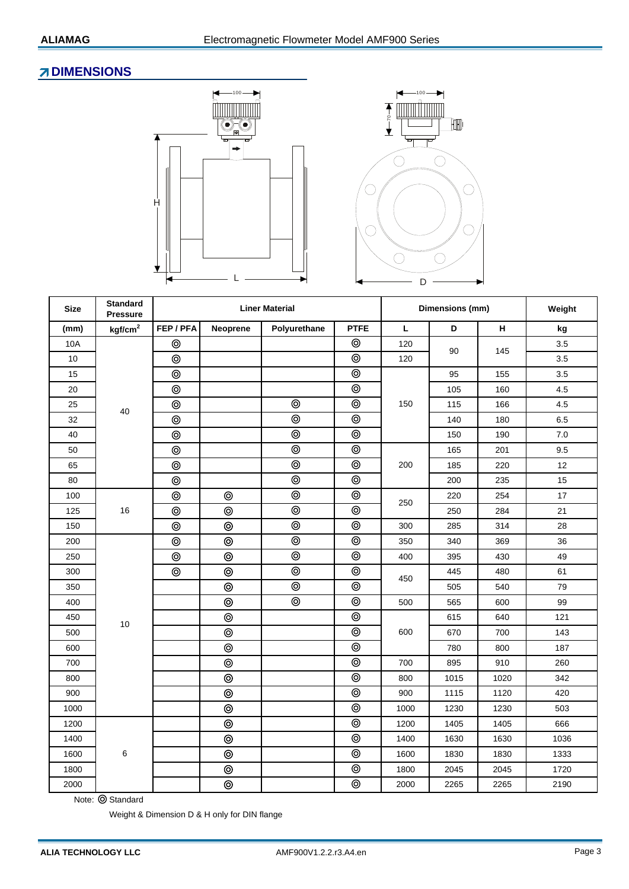# **ZDIMENSIONS**





| <b>Size</b> | <b>Standard</b><br><b>Pressure</b> |                     |                | <b>Liner Material</b> | Dimensions (mm)    | Weight |      |      |       |
|-------------|------------------------------------|---------------------|----------------|-----------------------|--------------------|--------|------|------|-------|
| (mm)        | kgf/cm <sup>2</sup>                | FEP/PFA<br>Neoprene |                | Polyurethane          | <b>PTFE</b>        |        | D    | H    | kg    |
| 10A         |                                    | $^{\circ}$          |                |                       | $\circledcirc$     | 120    | 90   | 145  | 3.5   |
| 10          |                                    | $\circledcirc$      |                |                       | $\circledcirc$     | 120    |      |      | 3.5   |
| 15          |                                    | $^{\circ}$          |                |                       | $\circledcirc$     |        | 95   | 155  | 3.5   |
| 20          |                                    | $\circledcirc$      |                |                       | $\circledcirc$     |        | 105  | 160  | 4.5   |
| 25          | 40                                 | $\circledcirc$      |                | $\circledcirc$        | $\circledcirc$     | 150    | 115  | 166  | 4.5   |
| 32          |                                    | $\circledcirc$      |                | $\circledcirc$        | $\circledcirc$     |        | 140  | 180  | 6.5   |
| 40          |                                    | $\circledcirc$      |                | $\circledcirc$        | $\overline{\circ}$ |        | 150  | 190  | $7.0$ |
| 50          |                                    | $\circledcirc$      |                | $\circledcirc$        | $\circledcirc$     |        | 165  | 201  | 9.5   |
| 65          |                                    | $\circledcirc$      |                | $\circledcirc$        | $\circledcirc$     | 200    | 185  | 220  | 12    |
| 80          |                                    | $\circledcirc$      |                | $\circledcirc$        | $\circledcirc$     |        | 200  | 235  | 15    |
| 100         |                                    | $\circledcirc$      | $^{\circ}$     | $\circledcirc$        | $\circledcirc$     | 250    | 220  | 254  | 17    |
| 125         | 16                                 | $\circledcirc$      | ⊚              | $\circledcirc$        | $\circledcirc$     |        | 250  | 284  | 21    |
| 150         |                                    | $\circledcirc$      | $\circledcirc$ | $\circledcirc$        | $\circledcirc$     | 300    | 285  | 314  | 28    |
| 200         |                                    | $\circledcirc$      | ⊚              | $\circledcirc$        | $\circledcirc$     | 350    | 340  | 369  | 36    |
| 250         |                                    | $\circledcirc$      | $\circledcirc$ | $\circledcirc$        | $\circledcirc$     | 400    | 395  | 430  | 49    |
| 300         |                                    | $\circledcirc$      | $\circledcirc$ | $\circledcirc$        | $\circledcirc$     | 450    | 445  | 480  | 61    |
| 350         |                                    |                     | $\circledcirc$ | $\circledcirc$        | $\overline{\circ}$ |        | 505  | 540  | 79    |
| 400         | 10                                 |                     | $\circledcirc$ | $\circledcirc$        | $\circledcirc$     | 500    | 565  | 600  | 99    |
| 450         |                                    |                     | $\circledcirc$ |                       | $\circledcirc$     |        | 615  | 640  | 121   |
| 500         |                                    |                     | $\circledcirc$ |                       | $\circledcirc$     | 600    | 670  | 700  | 143   |
| 600         |                                    |                     | $\circledcirc$ |                       | $\circledcirc$     |        | 780  | 800  | 187   |
| 700         |                                    |                     | ⊚              |                       | $^{\circ}$         | 700    | 895  | 910  | 260   |
| 800         |                                    |                     | $\circledcirc$ |                       | $\circledcirc$     | 800    | 1015 | 1020 | 342   |
| 900         |                                    |                     | $\circledcirc$ |                       | $\circledcirc$     | 900    | 1115 | 1120 | 420   |
| 1000        |                                    |                     | $\circledcirc$ |                       | $\circledcirc$     | 1000   | 1230 | 1230 | 503   |
| 1200        |                                    |                     | $\circledcirc$ |                       | $\circledcirc$     | 1200   | 1405 | 1405 | 666   |
| 1400        |                                    |                     | $\circledcirc$ |                       | $\circledcirc$     | 1400   | 1630 | 1630 | 1036  |
| 1600        | 6                                  |                     | ⊚              |                       | $\circledcirc$     | 1600   | 1830 | 1830 | 1333  |
| 1800        |                                    |                     | $^{\circ}$     |                       | $^{\circ}$         | 1800   | 2045 | 2045 | 1720  |
| 2000        |                                    |                     | $\circledcirc$ |                       | $\circledcirc$     | 2000   | 2265 | 2265 | 2190  |

Note: © Standard

Weight & Dimension D & H only for DIN flange